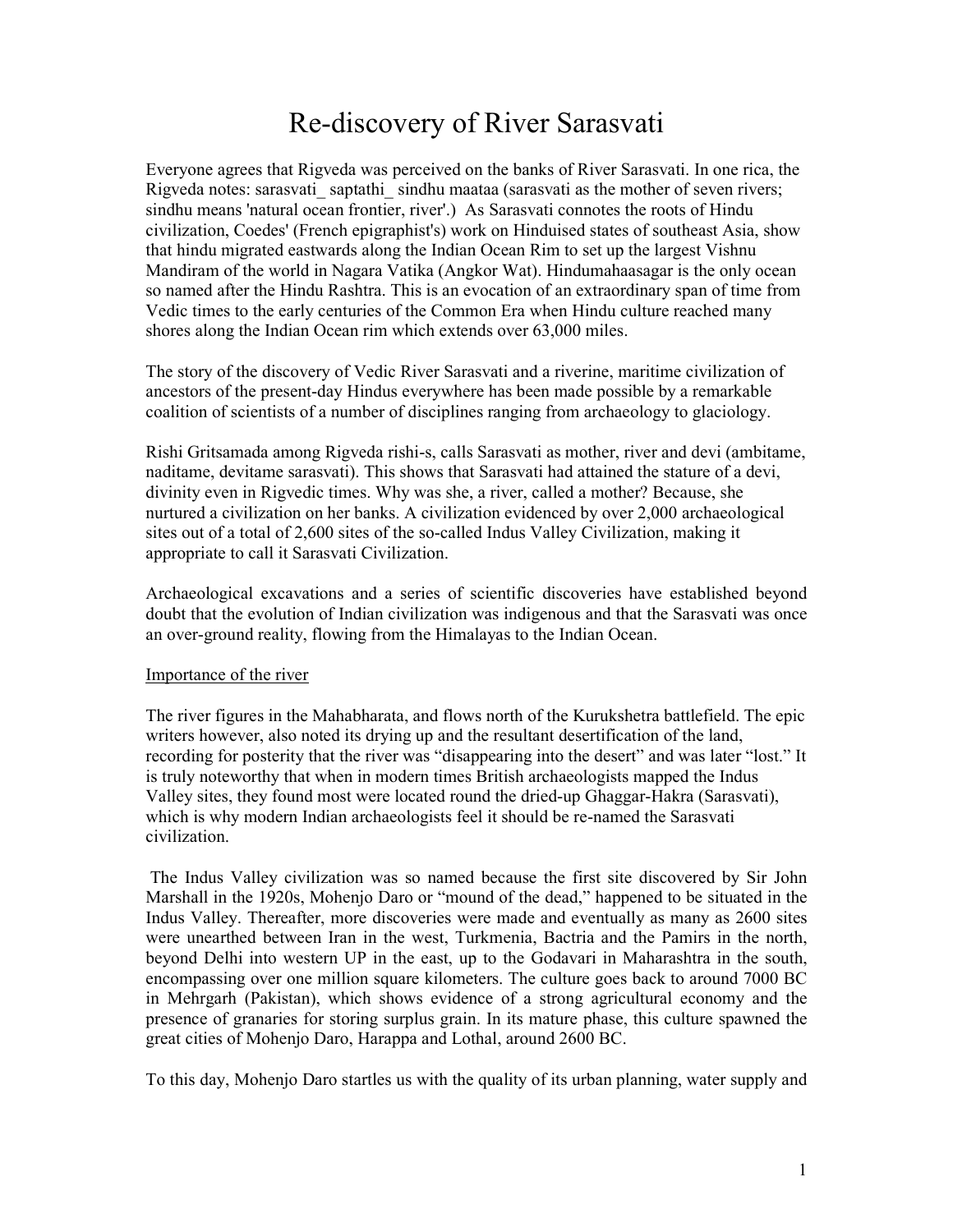# Re-discovery of River Sarasvati

Everyone agrees that Rigveda was perceived on the banks of River Sarasvati. In one rica, the Rigveda notes: sarasvati saptathi sindhu maataa (sarasvati as the mother of seven rivers; sindhu means 'natural ocean frontier, river'.) As Sarasvati connotes the roots of Hindu civilization, Coedes' (French epigraphist's) work on Hinduised states of southeast Asia, show that hindu migrated eastwards along the Indian Ocean Rim to set up the largest Vishnu Mandiram of the world in Nagara Vatika (Angkor Wat). Hindumahaasagar is the only ocean so named after the Hindu Rashtra. This is an evocation of an extraordinary span of time from Vedic times to the early centuries of the Common Era when Hindu culture reached many shores along the Indian Ocean rim which extends over 63,000 miles.

The story of the discovery of Vedic River Sarasvati and a riverine, maritime civilization of ancestors of the present-day Hindus everywhere has been made possible by a remarkable coalition of scientists of a number of disciplines ranging from archaeology to glaciology.

Rishi Gritsamada among Rigveda rishi-s, calls Sarasvati as mother, river and devi (ambitame, naditame, devitame sarasvati). This shows that Sarasvati had attained the stature of a devi, divinity even in Rigvedic times. Why was she, a river, called a mother? Because, she nurtured a civilization on her banks. A civilization evidenced by over 2,000 archaeological sites out of a total of 2,600 sites of the so-called Indus Valley Civilization, making it appropriate to call it Sarasvati Civilization.

Archaeological excavations and a series of scientific discoveries have established beyond doubt that the evolution of Indian civilization was indigenous and that the Sarasvati was once an over-ground reality, flowing from the Himalayas to the Indian Ocean.

#### Importance of the river

The river figures in the Mahabharata, and flows north of the Kurukshetra battlefield. The epic writers however, also noted its drying up and the resultant desertification of the land, recording for posterity that the river was "disappearing into the desert" and was later "lost." It is truly noteworthy that when in modern times British archaeologists mapped the Indus Valley sites, they found most were located round the dried-up Ghaggar-Hakra (Sarasvati), which is why modern Indian archaeologists feel it should be re-named the Sarasvati civilization.

 The Indus Valley civilization was so named because the first site discovered by Sir John Marshall in the 1920s, Mohenjo Daro or "mound of the dead," happened to be situated in the Indus Valley. Thereafter, more discoveries were made and eventually as many as 2600 sites were unearthed between Iran in the west, Turkmenia, Bactria and the Pamirs in the north, beyond Delhi into western UP in the east, up to the Godavari in Maharashtra in the south, encompassing over one million square kilometers. The culture goes back to around 7000 BC in Mehrgarh (Pakistan), which shows evidence of a strong agricultural economy and the presence of granaries for storing surplus grain. In its mature phase, this culture spawned the great cities of Mohenjo Daro, Harappa and Lothal, around 2600 BC.

To this day, Mohenjo Daro startles us with the quality of its urban planning, water supply and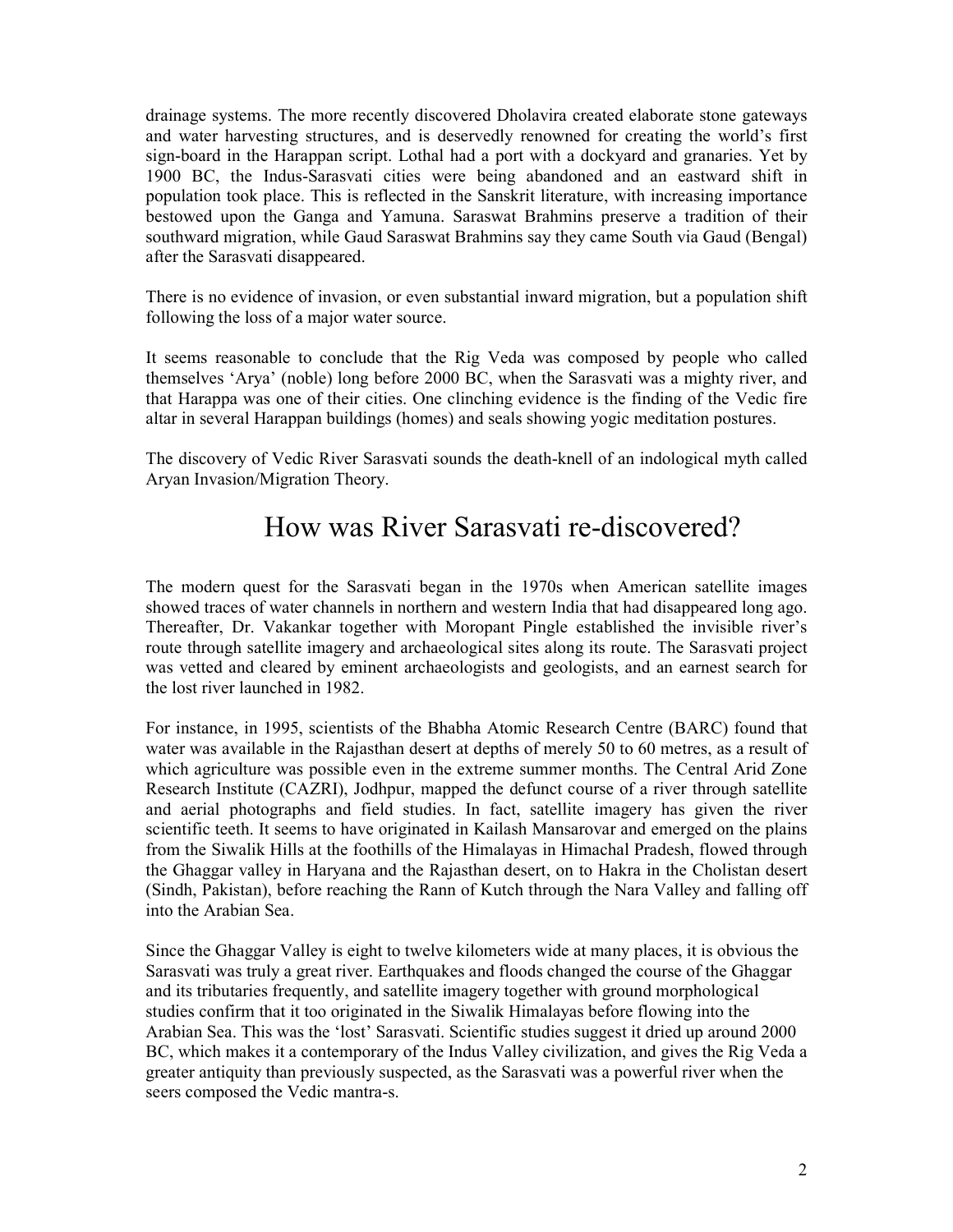drainage systems. The more recently discovered Dholavira created elaborate stone gateways and water harvesting structures, and is deservedly renowned for creating the world's first sign-board in the Harappan script. Lothal had a port with a dockyard and granaries. Yet by 1900 BC, the Indus-Sarasvati cities were being abandoned and an eastward shift in population took place. This is reflected in the Sanskrit literature, with increasing importance bestowed upon the Ganga and Yamuna. Saraswat Brahmins preserve a tradition of their southward migration, while Gaud Saraswat Brahmins say they came South via Gaud (Bengal) after the Sarasvati disappeared.

There is no evidence of invasion, or even substantial inward migration, but a population shift following the loss of a major water source.

It seems reasonable to conclude that the Rig Veda was composed by people who called themselves 'Arya' (noble) long before 2000 BC, when the Sarasvati was a mighty river, and that Harappa was one of their cities. One clinching evidence is the finding of the Vedic fire altar in several Harappan buildings (homes) and seals showing yogic meditation postures.

The discovery of Vedic River Sarasvati sounds the death-knell of an indological myth called Aryan Invasion/Migration Theory.

## How was River Sarasvati re-discovered?

The modern quest for the Sarasvati began in the 1970s when American satellite images showed traces of water channels in northern and western India that had disappeared long ago. Thereafter, Dr. Vakankar together with Moropant Pingle established the invisible river's route through satellite imagery and archaeological sites along its route. The Sarasvati project was vetted and cleared by eminent archaeologists and geologists, and an earnest search for the lost river launched in 1982.

For instance, in 1995, scientists of the Bhabha Atomic Research Centre (BARC) found that water was available in the Rajasthan desert at depths of merely 50 to 60 metres, as a result of which agriculture was possible even in the extreme summer months. The Central Arid Zone Research Institute (CAZRI), Jodhpur, mapped the defunct course of a river through satellite and aerial photographs and field studies. In fact, satellite imagery has given the river scientific teeth. It seems to have originated in Kailash Mansarovar and emerged on the plains from the Siwalik Hills at the foothills of the Himalayas in Himachal Pradesh, flowed through the Ghaggar valley in Haryana and the Rajasthan desert, on to Hakra in the Cholistan desert (Sindh, Pakistan), before reaching the Rann of Kutch through the Nara Valley and falling off into the Arabian Sea.

Since the Ghaggar Valley is eight to twelve kilometers wide at many places, it is obvious the Sarasvati was truly a great river. Earthquakes and floods changed the course of the Ghaggar and its tributaries frequently, and satellite imagery together with ground morphological studies confirm that it too originated in the Siwalik Himalayas before flowing into the Arabian Sea. This was the 'lost' Sarasvati. Scientific studies suggest it dried up around 2000 BC, which makes it a contemporary of the Indus Valley civilization, and gives the Rig Veda a greater antiquity than previously suspected, as the Sarasvati was a powerful river when the seers composed the Vedic mantra-s.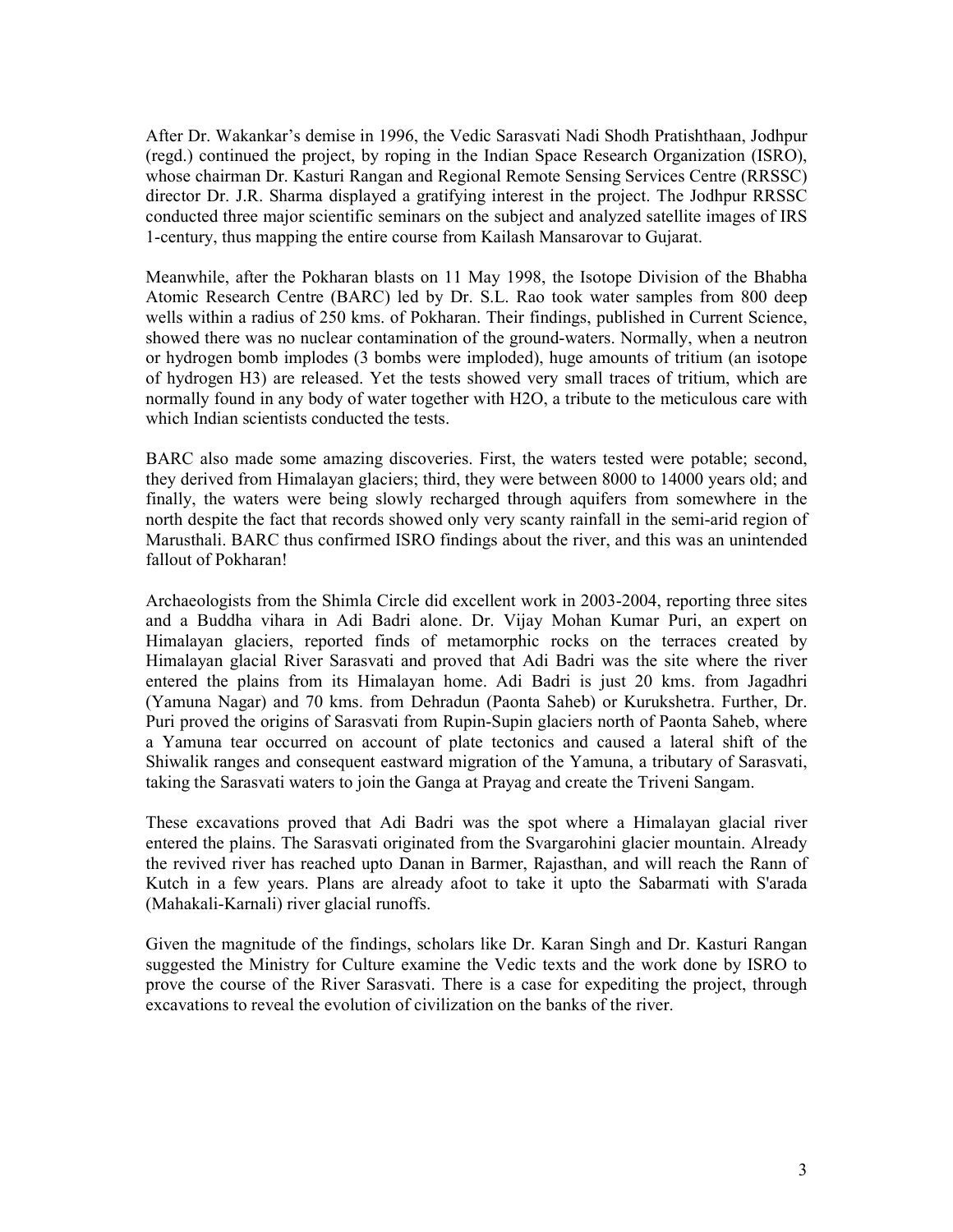After Dr. Wakankar's demise in 1996, the Vedic Sarasvati Nadi Shodh Pratishthaan, Jodhpur (regd.) continued the project, by roping in the Indian Space Research Organization (ISRO), whose chairman Dr. Kasturi Rangan and Regional Remote Sensing Services Centre (RRSSC) director Dr. J.R. Sharma displayed a gratifying interest in the project. The Jodhpur RRSSC conducted three major scientific seminars on the subject and analyzed satellite images of IRS 1-century, thus mapping the entire course from Kailash Mansarovar to Gujarat.

Meanwhile, after the Pokharan blasts on 11 May 1998, the Isotope Division of the Bhabha Atomic Research Centre (BARC) led by Dr. S.L. Rao took water samples from 800 deep wells within a radius of 250 kms. of Pokharan. Their findings, published in Current Science, showed there was no nuclear contamination of the ground-waters. Normally, when a neutron or hydrogen bomb implodes (3 bombs were imploded), huge amounts of tritium (an isotope of hydrogen H3) are released. Yet the tests showed very small traces of tritium, which are normally found in any body of water together with H2O, a tribute to the meticulous care with which Indian scientists conducted the tests.

BARC also made some amazing discoveries. First, the waters tested were potable; second, they derived from Himalayan glaciers; third, they were between 8000 to 14000 years old; and finally, the waters were being slowly recharged through aquifers from somewhere in the north despite the fact that records showed only very scanty rainfall in the semi-arid region of Marusthali. BARC thus confirmed ISRO findings about the river, and this was an unintended fallout of Pokharan!

Archaeologists from the Shimla Circle did excellent work in 2003-2004, reporting three sites and a Buddha vihara in Adi Badri alone. Dr. Vijay Mohan Kumar Puri, an expert on Himalayan glaciers, reported finds of metamorphic rocks on the terraces created by Himalayan glacial River Sarasvati and proved that Adi Badri was the site where the river entered the plains from its Himalayan home. Adi Badri is just 20 kms. from Jagadhri (Yamuna Nagar) and 70 kms. from Dehradun (Paonta Saheb) or Kurukshetra. Further, Dr. Puri proved the origins of Sarasvati from Rupin-Supin glaciers north of Paonta Saheb, where a Yamuna tear occurred on account of plate tectonics and caused a lateral shift of the Shiwalik ranges and consequent eastward migration of the Yamuna, a tributary of Sarasvati, taking the Sarasvati waters to join the Ganga at Prayag and create the Triveni Sangam.

These excavations proved that Adi Badri was the spot where a Himalayan glacial river entered the plains. The Sarasvati originated from the Svargarohini glacier mountain. Already the revived river has reached upto Danan in Barmer, Rajasthan, and will reach the Rann of Kutch in a few years. Plans are already afoot to take it upto the Sabarmati with S'arada (Mahakali-Karnali) river glacial runoffs.

Given the magnitude of the findings, scholars like Dr. Karan Singh and Dr. Kasturi Rangan suggested the Ministry for Culture examine the Vedic texts and the work done by ISRO to prove the course of the River Sarasvati. There is a case for expediting the project, through excavations to reveal the evolution of civilization on the banks of the river.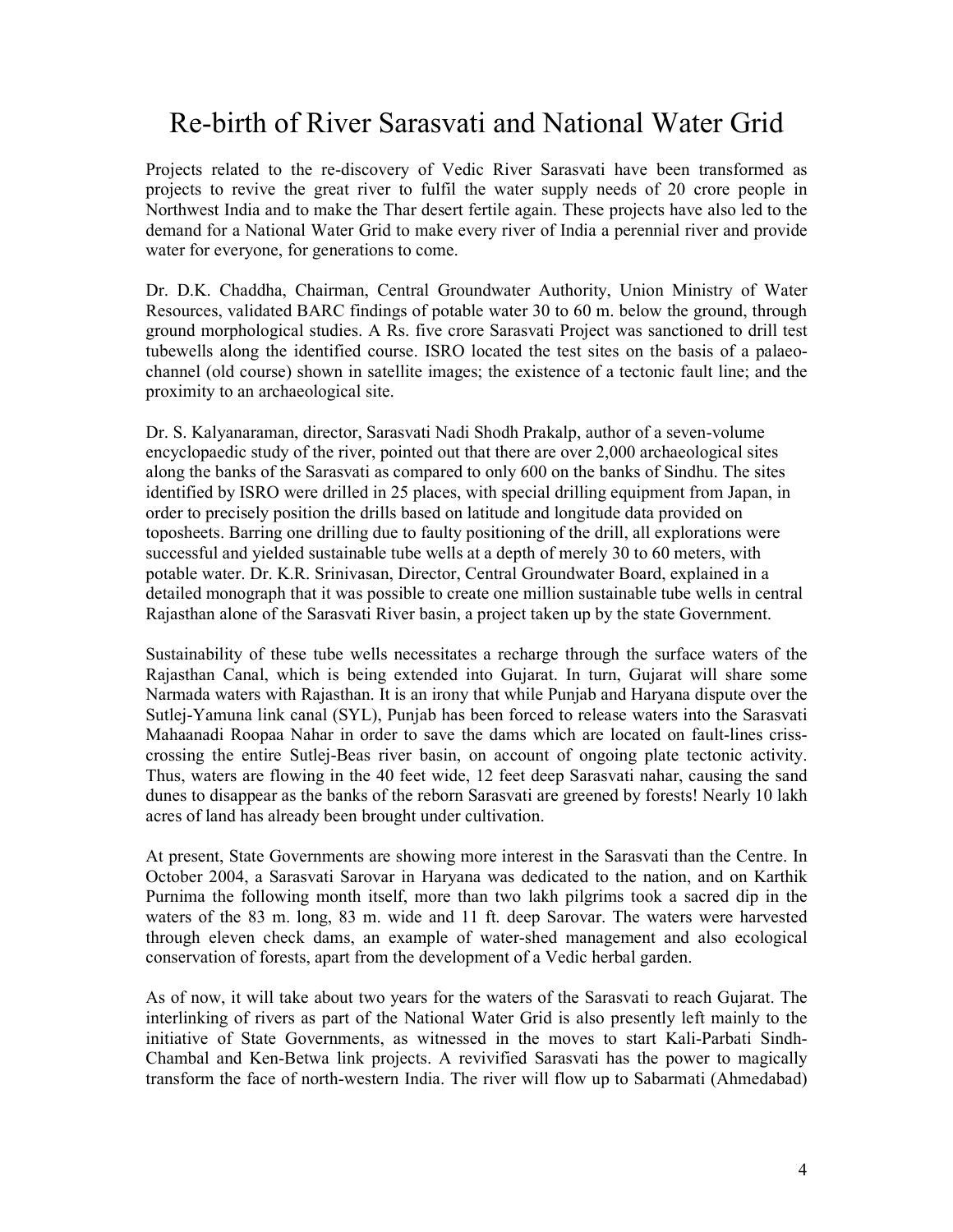# Re-birth of River Sarasvati and National Water Grid

Projects related to the re-discovery of Vedic River Sarasvati have been transformed as projects to revive the great river to fulfil the water supply needs of 20 crore people in Northwest India and to make the Thar desert fertile again. These projects have also led to the demand for a National Water Grid to make every river of India a perennial river and provide water for everyone, for generations to come.

Dr. D.K. Chaddha, Chairman, Central Groundwater Authority, Union Ministry of Water Resources, validated BARC findings of potable water 30 to 60 m. below the ground, through ground morphological studies. A Rs. five crore Sarasvati Project was sanctioned to drill test tubewells along the identified course. ISRO located the test sites on the basis of a palaeochannel (old course) shown in satellite images; the existence of a tectonic fault line; and the proximity to an archaeological site.

Dr. S. Kalyanaraman, director, Sarasvati Nadi Shodh Prakalp, author of a seven-volume encyclopaedic study of the river, pointed out that there are over 2,000 archaeological sites along the banks of the Sarasvati as compared to only 600 on the banks of Sindhu. The sites identified by ISRO were drilled in 25 places, with special drilling equipment from Japan, in order to precisely position the drills based on latitude and longitude data provided on toposheets. Barring one drilling due to faulty positioning of the drill, all explorations were successful and yielded sustainable tube wells at a depth of merely 30 to 60 meters, with potable water. Dr. K.R. Srinivasan, Director, Central Groundwater Board, explained in a detailed monograph that it was possible to create one million sustainable tube wells in central Rajasthan alone of the Sarasvati River basin, a project taken up by the state Government.

Sustainability of these tube wells necessitates a recharge through the surface waters of the Rajasthan Canal, which is being extended into Gujarat. In turn, Gujarat will share some Narmada waters with Rajasthan. It is an irony that while Punjab and Haryana dispute over the Sutlej-Yamuna link canal (SYL), Punjab has been forced to release waters into the Sarasvati Mahaanadi Roopaa Nahar in order to save the dams which are located on fault-lines crisscrossing the entire Sutlej-Beas river basin, on account of ongoing plate tectonic activity. Thus, waters are flowing in the 40 feet wide, 12 feet deep Sarasvati nahar, causing the sand dunes to disappear as the banks of the reborn Sarasvati are greened by forests! Nearly 10 lakh acres of land has already been brought under cultivation.

At present, State Governments are showing more interest in the Sarasvati than the Centre. In October 2004, a Sarasvati Sarovar in Haryana was dedicated to the nation, and on Karthik Purnima the following month itself, more than two lakh pilgrims took a sacred dip in the waters of the 83 m. long, 83 m. wide and 11 ft. deep Sarovar. The waters were harvested through eleven check dams, an example of water-shed management and also ecological conservation of forests, apart from the development of a Vedic herbal garden.

As of now, it will take about two years for the waters of the Sarasvati to reach Gujarat. The interlinking of rivers as part of the National Water Grid is also presently left mainly to the initiative of State Governments, as witnessed in the moves to start Kali-Parbati Sindh-Chambal and Ken-Betwa link projects. A revivified Sarasvati has the power to magically transform the face of north-western India. The river will flow up to Sabarmati (Ahmedabad)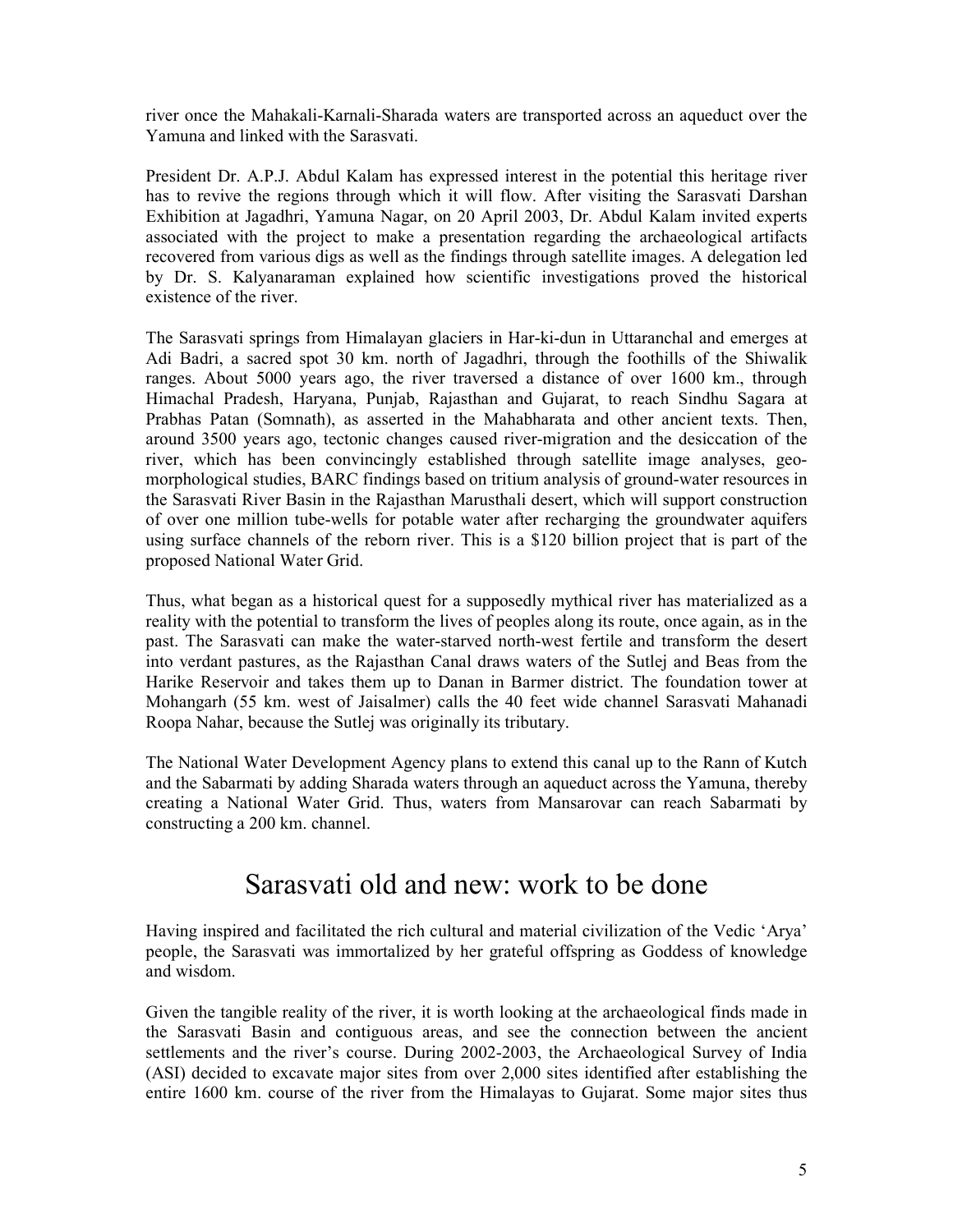river once the Mahakali-Karnali-Sharada waters are transported across an aqueduct over the Yamuna and linked with the Sarasvati.

President Dr. A.P.J. Abdul Kalam has expressed interest in the potential this heritage river has to revive the regions through which it will flow. After visiting the Sarasvati Darshan Exhibition at Jagadhri, Yamuna Nagar, on 20 April 2003, Dr. Abdul Kalam invited experts associated with the project to make a presentation regarding the archaeological artifacts recovered from various digs as well as the findings through satellite images. A delegation led by Dr. S. Kalyanaraman explained how scientific investigations proved the historical existence of the river.

The Sarasvati springs from Himalayan glaciers in Har-ki-dun in Uttaranchal and emerges at Adi Badri, a sacred spot 30 km. north of Jagadhri, through the foothills of the Shiwalik ranges. About 5000 years ago, the river traversed a distance of over 1600 km., through Himachal Pradesh, Haryana, Punjab, Rajasthan and Gujarat, to reach Sindhu Sagara at Prabhas Patan (Somnath), as asserted in the Mahabharata and other ancient texts. Then, around 3500 years ago, tectonic changes caused river-migration and the desiccation of the river, which has been convincingly established through satellite image analyses, geomorphological studies, BARC findings based on tritium analysis of ground-water resources in the Sarasvati River Basin in the Rajasthan Marusthali desert, which will support construction of over one million tube-wells for potable water after recharging the groundwater aquifers using surface channels of the reborn river. This is a \$120 billion project that is part of the proposed National Water Grid.

Thus, what began as a historical quest for a supposedly mythical river has materialized as a reality with the potential to transform the lives of peoples along its route, once again, as in the past. The Sarasvati can make the water-starved north-west fertile and transform the desert into verdant pastures, as the Rajasthan Canal draws waters of the Sutlej and Beas from the Harike Reservoir and takes them up to Danan in Barmer district. The foundation tower at Mohangarh (55 km. west of Jaisalmer) calls the 40 feet wide channel Sarasvati Mahanadi Roopa Nahar, because the Sutlej was originally its tributary.

The National Water Development Agency plans to extend this canal up to the Rann of Kutch and the Sabarmati by adding Sharada waters through an aqueduct across the Yamuna, thereby creating a National Water Grid. Thus, waters from Mansarovar can reach Sabarmati by constructing a 200 km. channel.

### Sarasvati old and new: work to be done

Having inspired and facilitated the rich cultural and material civilization of the Vedic 'Arya' people, the Sarasvati was immortalized by her grateful offspring as Goddess of knowledge and wisdom.

Given the tangible reality of the river, it is worth looking at the archaeological finds made in the Sarasvati Basin and contiguous areas, and see the connection between the ancient settlements and the river's course. During 2002-2003, the Archaeological Survey of India (ASI) decided to excavate major sites from over 2,000 sites identified after establishing the entire 1600 km. course of the river from the Himalayas to Gujarat. Some major sites thus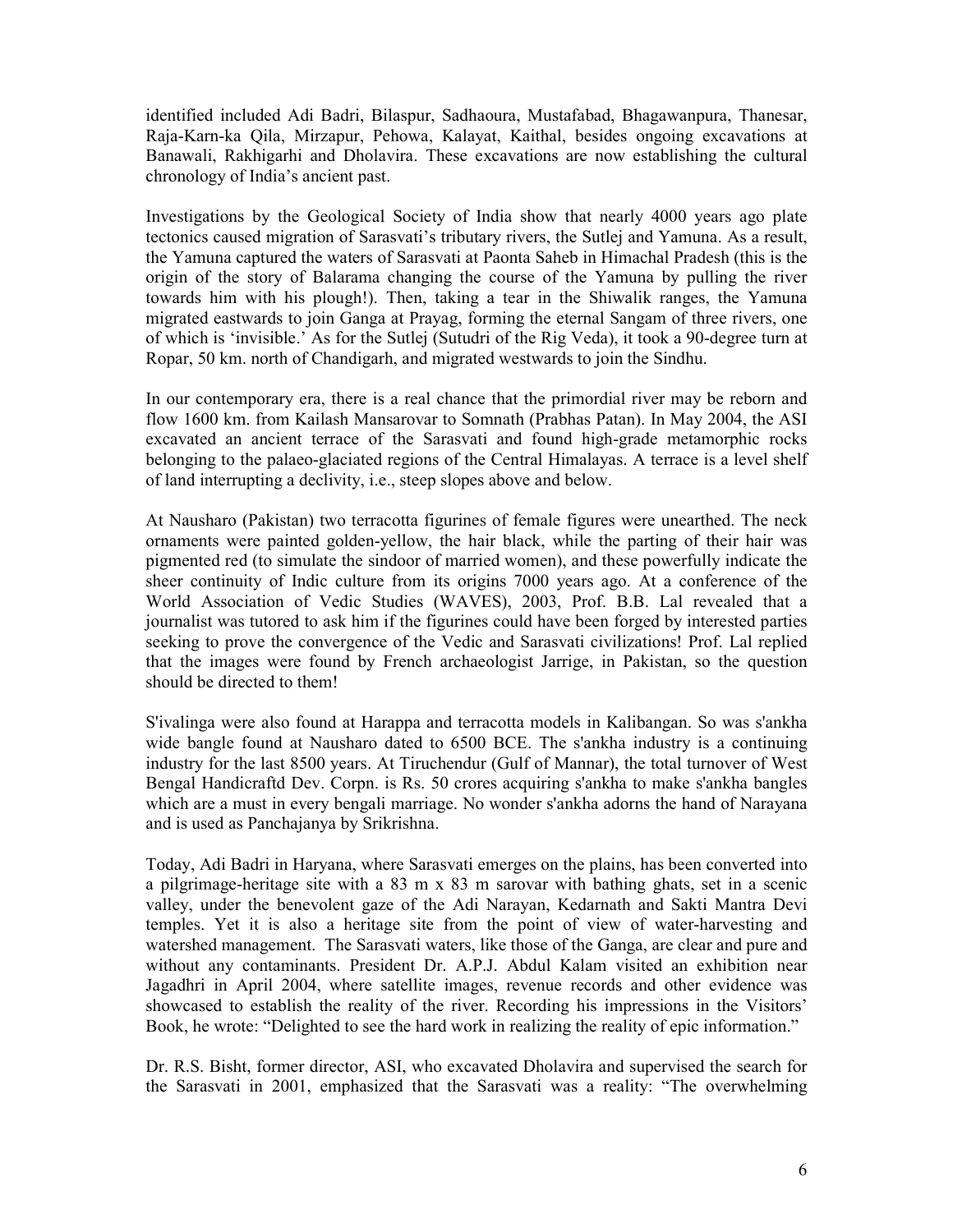identified included Adi Badri, Bilaspur, Sadhaoura, Mustafabad, Bhagawanpura, Thanesar, Raja-Karn-ka Qila, Mirzapur, Pehowa, Kalayat, Kaithal, besides ongoing excavations at Banawali, Rakhigarhi and Dholavira. These excavations are now establishing the cultural chronology of India's ancient past.

Investigations by the Geological Society of India show that nearly 4000 years ago plate tectonics caused migration of Sarasvati's tributary rivers, the Sutlej and Yamuna. As a result, the Yamuna captured the waters of Sarasvati at Paonta Saheb in Himachal Pradesh (this is the origin of the story of Balarama changing the course of the Yamuna by pulling the river towards him with his plough!). Then, taking a tear in the Shiwalik ranges, the Yamuna migrated eastwards to join Ganga at Prayag, forming the eternal Sangam of three rivers, one of which is 'invisible.' As for the Sutlej (Sutudri of the Rig Veda), it took a 90-degree turn at Ropar, 50 km. north of Chandigarh, and migrated westwards to join the Sindhu.

In our contemporary era, there is a real chance that the primordial river may be reborn and flow 1600 km. from Kailash Mansarovar to Somnath (Prabhas Patan). In May 2004, the ASI excavated an ancient terrace of the Sarasvati and found high-grade metamorphic rocks belonging to the palaeo-glaciated regions of the Central Himalayas. A terrace is a level shelf of land interrupting a declivity, i.e., steep slopes above and below.

At Nausharo (Pakistan) two terracotta figurines of female figures were unearthed. The neck ornaments were painted golden-yellow, the hair black, while the parting of their hair was pigmented red (to simulate the sindoor of married women), and these powerfully indicate the sheer continuity of Indic culture from its origins 7000 years ago. At a conference of the World Association of Vedic Studies (WAVES), 2003, Prof. B.B. Lal revealed that a journalist was tutored to ask him if the figurines could have been forged by interested parties seeking to prove the convergence of the Vedic and Sarasvati civilizations! Prof. Lal replied that the images were found by French archaeologist Jarrige, in Pakistan, so the question should be directed to them!

S'ivalinga were also found at Harappa and terracotta models in Kalibangan. So was s'ankha wide bangle found at Nausharo dated to 6500 BCE. The s'ankha industry is a continuing industry for the last 8500 years. At Tiruchendur (Gulf of Mannar), the total turnover of West Bengal Handicraftd Dev. Corpn. is Rs. 50 crores acquiring s'ankha to make s'ankha bangles which are a must in every bengali marriage. No wonder s'ankha adorns the hand of Narayana and is used as Panchajanya by Srikrishna.

Today, Adi Badri in Haryana, where Sarasvati emerges on the plains, has been converted into a pilgrimage-heritage site with a 83 m x 83 m sarovar with bathing ghats, set in a scenic valley, under the benevolent gaze of the Adi Narayan, Kedarnath and Sakti Mantra Devi temples. Yet it is also a heritage site from the point of view of water-harvesting and watershed management. The Sarasvati waters, like those of the Ganga, are clear and pure and without any contaminants. President Dr. A.P.J. Abdul Kalam visited an exhibition near Jagadhri in April 2004, where satellite images, revenue records and other evidence was showcased to establish the reality of the river. Recording his impressions in the Visitors' Book, he wrote: "Delighted to see the hard work in realizing the reality of epic information."

Dr. R.S. Bisht, former director, ASI, who excavated Dholavira and supervised the search for the Sarasvati in 2001, emphasized that the Sarasvati was a reality: "The overwhelming